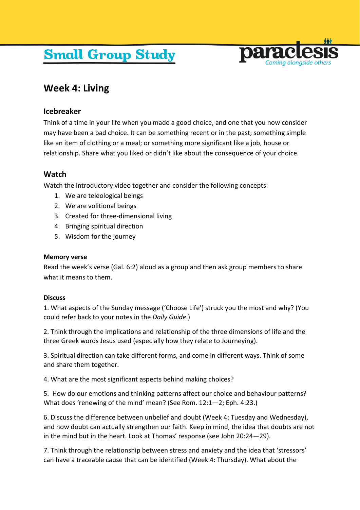# **Small Group Study**



# **Week 4: Living**

## **Icebreaker**

Think of a time in your life when you made a good choice, and one that you now consider may have been a bad choice. It can be something recent or in the past; something simple like an item of clothing or a meal; or something more significant like a job, house or relationship. Share what you liked or didn't like about the consequence of your choice.

## **Watch**

Watch the introductory video together and consider the following concepts:

- 1. We are teleological beings
- 2. We are volitional beings
- 3. Created for three-dimensional living
- 4. Bringing spiritual direction
- 5. Wisdom for the journey

#### **Memory verse**

Read the week's verse (Gal. 6:2) aloud as a group and then ask group members to share what it means to them.

#### **Discuss**

1. What aspects of the Sunday message ('Choose Life') struck you the most and why? (You could refer back to your notes in the *Daily Guide*.)

2. Think through the implications and relationship of the three dimensions of life and the three Greek words Jesus used (especially how they relate to Journeying).

3. Spiritual direction can take different forms, and come in different ways. Think of some and share them together.

4. What are the most significant aspects behind making choices?

5. How do our emotions and thinking patterns affect our choice and behaviour patterns? What does 'renewing of the mind' mean? (See Rom. 12:1—2; Eph. 4:23.)

6. Discuss the difference between unbelief and doubt (Week 4: Tuesday and Wednesday), and how doubt can actually strengthen our faith. Keep in mind, the idea that doubts are not in the mind but in the heart. Look at Thomas' response (see John 20:24—29).

7. Think through the relationship between stress and anxiety and the idea that 'stressors' can have a traceable cause that can be identified (Week 4: Thursday). What about the